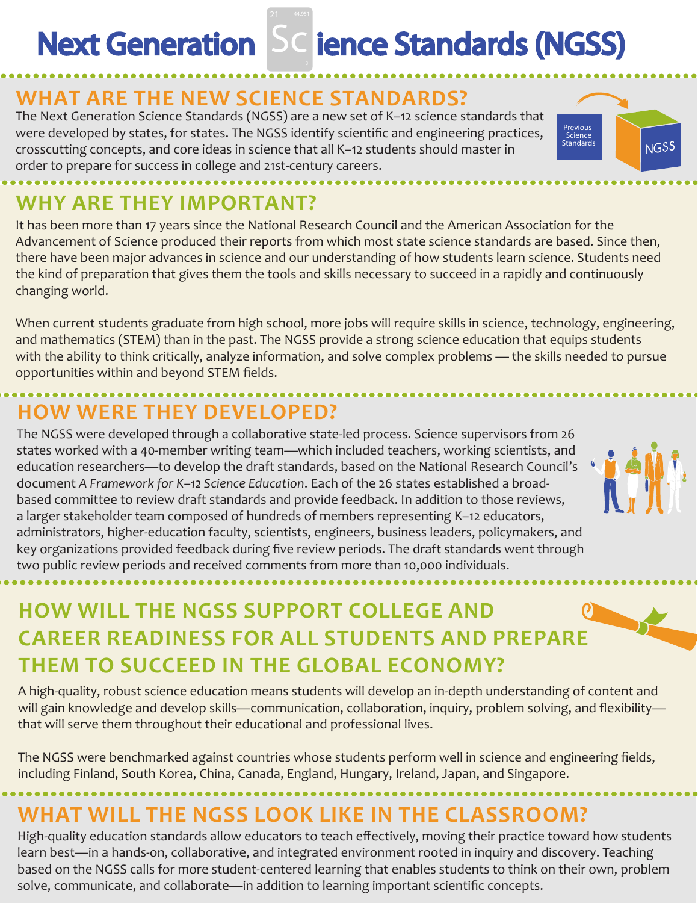# **Next Generation Sc ience Standards (NGSS)**

### **WHAT ARE THE NEW SCIENCE STANDARDS?**

The Next Generation Science Standards (NGSS) are a new set of K–12 science standards that were developed by states, for states. The NGSS identify scientific and engineering practices, crosscutting concepts, and core ideas in science that all K–12 students should master in order to prepare for success in college and 21st-century careers.



# **WHY ARE THEY IMPORTANT?**

It has been more than 17 years since the National Research Council and the American Association for the Advancement of Science produced their reports from which most state science standards are based. Since then, there have been major advances in science and our understanding of how students learn science. Students need the kind of preparation that gives them the tools and skills necessary to succeed in a rapidly and continuously changing world.

When current students graduate from high school, more jobs will require skills in science, technology, engineering, and mathematics (STEM) than in the past. The NGSS provide a strong science education that equips students with the ability to think critically, analyze information, and solve complex problems — the skills needed to pursue opportunities within and beyond STEM fields.

# **HOW WERE THEY DEVELOPED?**

The NGSS were developed through a collaborative state-led process. Science supervisors from 26 states worked with a 40-member writing team—which included teachers, working scientists, and education researchers—to develop the draft standards, based on the National Research Council's document *A Framework for K–12 Science Education*. Each of the 26 states established a broadbased committee to review draft standards and provide feedback. In addition to those reviews, a larger stakeholder team composed of hundreds of members representing K–12 educators, administrators, higher-education faculty, scientists, engineers, business leaders, policymakers, and key organizations provided feedback during five review periods. The draft standards went through two public review periods and received comments from more than 10,000 individuals.



# **HOW WILL THE NGSS SUPPORT COLLEGE AND CAREER READINESS FOR ALL STUDENTS AND PREPARE THEM TO SUCCEED IN THE GLOBAL ECONOMY?**

A high-quality, robust science education means students will develop an in-depth understanding of content and will gain knowledge and develop skills—communication, collaboration, inquiry, problem solving, and flexibility that will serve them throughout their educational and professional lives.

The NGSS were benchmarked against countries whose students perform well in science and engineering fields, including Finland, South Korea, China, Canada, England, Hungary, Ireland, Japan, and Singapore.

# **WHAT WILL THE NGSS LOOK LIKE IN THE CLASSROOM?**

High-quality education standards allow educators to teach effectively, moving their practice toward how students learn best—in a hands-on, collaborative, and integrated environment rooted in inquiry and discovery. Teaching based on the NGSS calls for more student-centered learning that enables students to think on their own, problem solve, communicate, and collaborate—in addition to learning important scientific concepts.